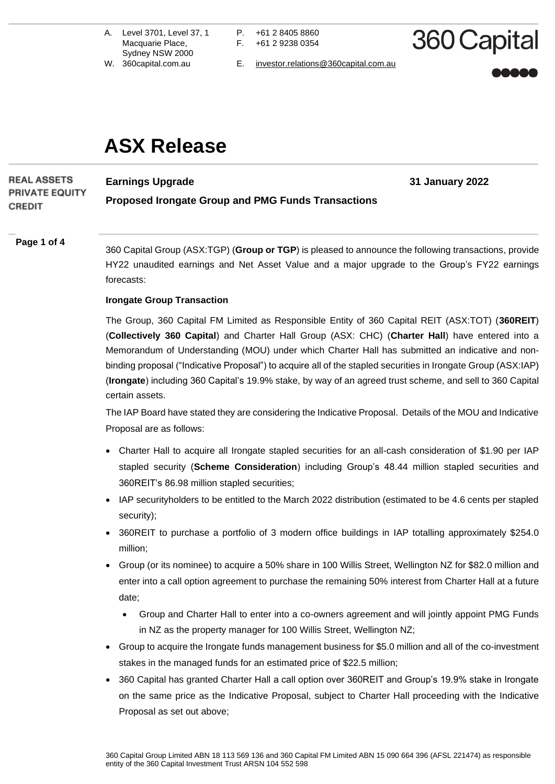A. Level 3701, Level 37, 1 Macquarie Place, Sydney NSW 2000

P. +61 2 8405 8860 F. +61 2 9238 0354

360 Capital

**31 January 2022**

W. 360capital.com.au E. [investor.relations@360capital.com.au](mailto:investor.relations@360capital.com.au)

# **ASX Release**

### **REAL ASSETS Earnings Upgrade PRIVATE EQUITY Proposed Irongate Group and PMG Funds Transactions CREDIT**

### **Page 1 of 4**

360 Capital Group (ASX:TGP) (**Group or TGP**) is pleased to announce the following transactions, provide HY22 unaudited earnings and Net Asset Value and a major upgrade to the Group's FY22 earnings forecasts:

### **Irongate Group Transaction**

The Group, 360 Capital FM Limited as Responsible Entity of 360 Capital REIT (ASX:TOT) (**360REIT**) (**Collectively 360 Capital**) and Charter Hall Group (ASX: CHC) (**Charter Hall**) have entered into a Memorandum of Understanding (MOU) under which Charter Hall has submitted an indicative and nonbinding proposal ("Indicative Proposal") to acquire all of the stapled securities in Irongate Group (ASX:IAP) (**Irongate**) including 360 Capital's 19.9% stake, by way of an agreed trust scheme, and sell to 360 Capital certain assets.

The IAP Board have stated they are considering the Indicative Proposal. Details of the MOU and Indicative Proposal are as follows:

- Charter Hall to acquire all Irongate stapled securities for an all-cash consideration of \$1.90 per IAP stapled security (**Scheme Consideration**) including Group's 48.44 million stapled securities and 360REIT's 86.98 million stapled securities;
- IAP securityholders to be entitled to the March 2022 distribution (estimated to be 4.6 cents per stapled security);
- 360REIT to purchase a portfolio of 3 modern office buildings in IAP totalling approximately \$254.0 million;
- Group (or its nominee) to acquire a 50% share in 100 Willis Street, Wellington NZ for \$82.0 million and enter into a call option agreement to purchase the remaining 50% interest from Charter Hall at a future date;
	- Group and Charter Hall to enter into a co-owners agreement and will jointly appoint PMG Funds in NZ as the property manager for 100 Willis Street, Wellington NZ;
- Group to acquire the Irongate funds management business for \$5.0 million and all of the co-investment stakes in the managed funds for an estimated price of \$22.5 million;
- 360 Capital has granted Charter Hall a call option over 360REIT and Group's 19.9% stake in Irongate on the same price as the Indicative Proposal, subject to Charter Hall proceeding with the Indicative Proposal as set out above;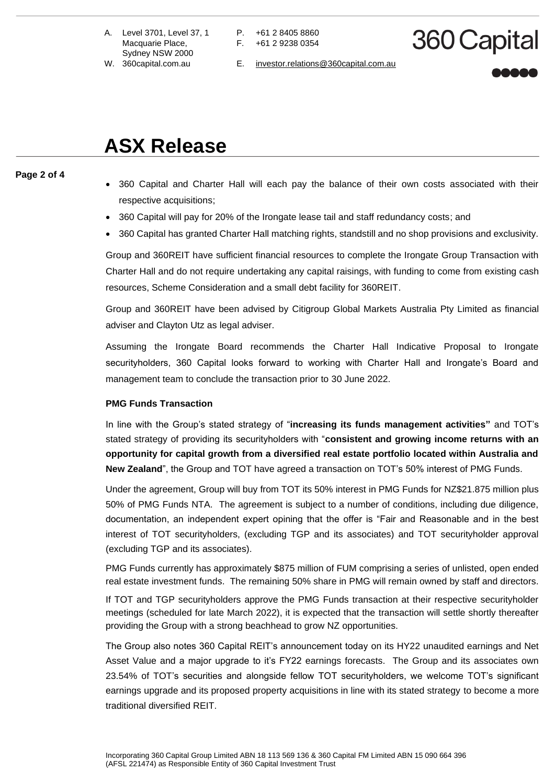- A. Level 3701, Level 37, 1 Macquarie Place, Sydney NSW 2000
- 
- P. +61 2 8405 8860 F. +61 2 9238 0354
- 360 Capital
- W. 360capital.com.au E. [investor.relations@360capital.com.au](mailto:investor.relations@360capital.com.au)

# **ASX Release**

### **Page 2 of 4**

- 360 Capital and Charter Hall will each pay the balance of their own costs associated with their respective acquisitions;
- 360 Capital will pay for 20% of the Irongate lease tail and staff redundancy costs; and
- 360 Capital has granted Charter Hall matching rights, standstill and no shop provisions and exclusivity.

Group and 360REIT have sufficient financial resources to complete the Irongate Group Transaction with Charter Hall and do not require undertaking any capital raisings, with funding to come from existing cash resources, Scheme Consideration and a small debt facility for 360REIT.

Group and 360REIT have been advised by Citigroup Global Markets Australia Pty Limited as financial adviser and Clayton Utz as legal adviser.

Assuming the Irongate Board recommends the Charter Hall Indicative Proposal to Irongate securityholders, 360 Capital looks forward to working with Charter Hall and Irongate's Board and management team to conclude the transaction prior to 30 June 2022.

### **PMG Funds Transaction**

In line with the Group's stated strategy of "**increasing its funds management activities"** and TOT's stated strategy of providing its securityholders with "**consistent and growing income returns with an opportunity for capital growth from a diversified real estate portfolio located within Australia and New Zealand**", the Group and TOT have agreed a transaction on TOT's 50% interest of PMG Funds.

Under the agreement, Group will buy from TOT its 50% interest in PMG Funds for NZ\$21.875 million plus 50% of PMG Funds NTA. The agreement is subject to a number of conditions, including due diligence, documentation, an independent expert opining that the offer is "Fair and Reasonable and in the best interest of TOT securityholders, (excluding TGP and its associates) and TOT securityholder approval (excluding TGP and its associates).

PMG Funds currently has approximately \$875 million of FUM comprising a series of unlisted, open ended real estate investment funds. The remaining 50% share in PMG will remain owned by staff and directors.

If TOT and TGP securityholders approve the PMG Funds transaction at their respective securityholder meetings (scheduled for late March 2022), it is expected that the transaction will settle shortly thereafter providing the Group with a strong beachhead to grow NZ opportunities.

The Group also notes 360 Capital REIT's announcement today on its HY22 unaudited earnings and Net Asset Value and a major upgrade to it's FY22 earnings forecasts. The Group and its associates own 23.54% of TOT's securities and alongside fellow TOT securityholders, we welcome TOT's significant earnings upgrade and its proposed property acquisitions in line with its stated strategy to become a more traditional diversified REIT.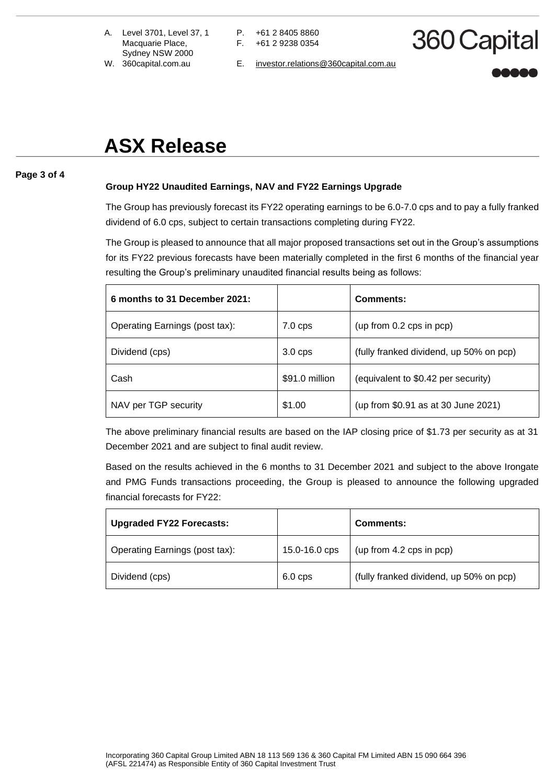- A. Level 3701, Level 37, 1 Macquarie Place, Sydney NSW 2000
- 
- P. +61 2 8405 8860 F. +61 2 9238 0354
- 360 Capital
- W. 360capital.com.au E. [investor.relations@360capital.com.au](mailto:investor.relations@360capital.com.au)

# **ASX Release**

### **Page 3 of 4**

## **Group HY22 Unaudited Earnings, NAV and FY22 Earnings Upgrade**

The Group has previously forecast its FY22 operating earnings to be 6.0-7.0 cps and to pay a fully franked dividend of 6.0 cps, subject to certain transactions completing during FY22.

The Group is pleased to announce that all major proposed transactions set out in the Group's assumptions for its FY22 previous forecasts have been materially completed in the first 6 months of the financial year resulting the Group's preliminary unaudited financial results being as follows:

| 6 months to 31 December 2021:  |                  | Comments:                               |
|--------------------------------|------------------|-----------------------------------------|
| Operating Earnings (post tax): | $7.0$ cps        | (up from 0.2 cps in pop)                |
| Dividend (cps)                 | $3.0 \text{cps}$ | (fully franked dividend, up 50% on pcp) |
| Cash                           | \$91.0 million   | (equivalent to \$0.42 per security)     |
| NAV per TGP security           | \$1.00           | (up from \$0.91 as at 30 June 2021)     |

The above preliminary financial results are based on the IAP closing price of \$1.73 per security as at 31 December 2021 and are subject to final audit review.

Based on the results achieved in the 6 months to 31 December 2021 and subject to the above Irongate and PMG Funds transactions proceeding, the Group is pleased to announce the following upgraded financial forecasts for FY22:

| <b>Upgraded FY22 Forecasts:</b> |               | <b>Comments:</b>                        |
|---------------------------------|---------------|-----------------------------------------|
| Operating Earnings (post tax):  | 15.0-16.0 cps | (up from 4.2 cps in pcp)                |
| Dividend (cps)                  | $6.0$ cps     | (fully franked dividend, up 50% on pcp) |